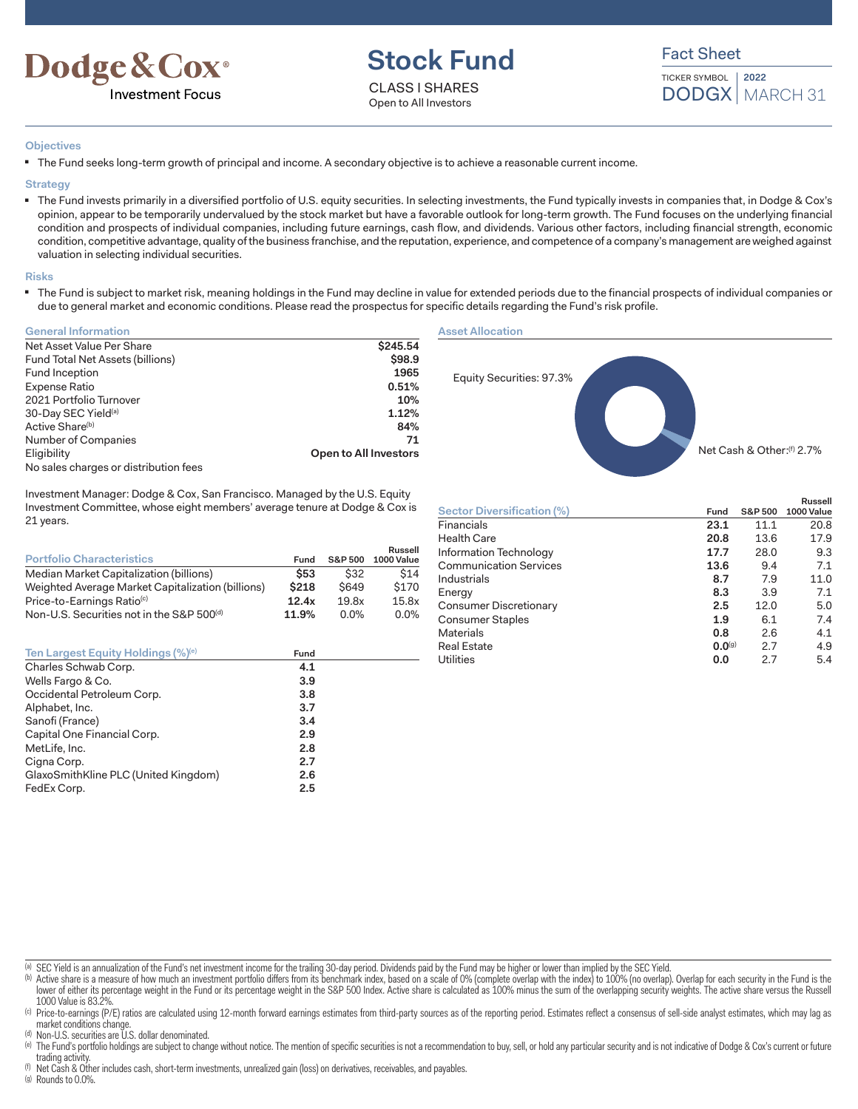

# **Stock Fund**

CLASS I SHARES Open to All Investors

Fact Sheet

TICKER SYMBOL DODGX | MARCH 31 **2022**

#### **Objectives**

■ The Fund seeks long-term growth of principal and income. A secondary objective is to achieve a reasonable current income.

**Strategy**

■ The Fund invests primarily in a diversified portfolio of U.S. equity securities. In selecting investments, the Fund typically invests in companies that, in Dodge & Cox's opinion, appear to be temporarily undervalued by the stock market but have a favorable outlook for long-term growth. The Fund focuses on the underlying financial condition and prospects of individual companies, including future earnings, cash flow, and dividends. Various other factors, including financial strength, economic condition, competitive advantage, quality of the business franchise, and the reputation, experience, and competence of a company's management are weighed against valuation in selecting individual securities.

#### **Risks**

The Fund is subject to market risk, meaning holdings in the Fund may decline in value for extended periods due to the financial prospects of individual companies or due to general market and economic conditions. Please read the prospectus for specific details regarding the Fund's risk profile.

| <b>General Information</b>            |                       |
|---------------------------------------|-----------------------|
| Net Asset Value Per Share             | \$245.54              |
| Fund Total Net Assets (billions)      | \$98.9                |
| Fund Inception                        | 1965                  |
| Expense Ratio                         | 0.51%                 |
| 2021 Portfolio Turnover               | 10%                   |
| 30-Day SEC Yield <sup>(a)</sup>       | 1.12%                 |
| Active Share <sup>(b)</sup>           | 84%                   |
| Number of Companies                   | 71                    |
| Eligibility                           | Open to All Investors |
| No sales charges or distribution fees |                       |

Investment Manager: Dodge & Cox, San Francisco. Managed by the U.S. Equity Investment Committee, whose eight members' average tenure at Dodge & Cox is 21 years.

| <b>Portfolio Characteristics</b>                      | Fund        | <b>S&amp;P 500</b> | Russell<br>1000 Value |
|-------------------------------------------------------|-------------|--------------------|-----------------------|
| Median Market Capitalization (billions)               | <b>\$53</b> | \$32               | \$14                  |
| Weighted Average Market Capitalization (billions)     | \$218       | <b>S649</b>        | \$170                 |
| Price-to-Earnings Ratio <sup>(c)</sup>                | 12.4x       | 19.8x              | 15.8x                 |
| Non-U.S. Securities not in the S&P 500 <sup>(d)</sup> | 11.9%       | $0.0\%$            | $0.0\%$               |

| Ten Largest Equity Holdings (%) <sup>(e)</sup> | Fund |  |
|------------------------------------------------|------|--|
| Charles Schwab Corp.                           | 4.1  |  |
| Wells Fargo & Co.                              | 3.9  |  |
| Occidental Petroleum Corp.                     | 3.8  |  |
| Alphabet, Inc.                                 | 3.7  |  |
| Sanofi (France)                                | 3.4  |  |
| Capital One Financial Corp.                    | 2.9  |  |
| MetLife, Inc.                                  | 2.8  |  |
| Cigna Corp.                                    | 2.7  |  |
| GlaxoSmithKline PLC (United Kingdom)           | 2.6  |  |
| FedEx Corp.                                    | 2.5  |  |

#### **Asset Allocation**



|                               |             |                    | Russell    |
|-------------------------------|-------------|--------------------|------------|
| Sector Diversification (%)    | Fund        | <b>S&amp;P 500</b> | 1000 Value |
| Financials                    | 23.1        | 11.1               | 20.8       |
| <b>Health Care</b>            | 20.8        | 13.6               | 17.9       |
| Information Technology        | 17.7        | 28.0               | 9.3        |
| <b>Communication Services</b> | 13.6        | 9.4                | 7.1        |
| Industrials                   | 8.7         | 7.9                | 11.0       |
| Energy                        | 8.3         | 3.9                | 7.1        |
| Consumer Discretionary        | 2.5         | 12.0               | 5.0        |
| Consumer Staples              | 1.9         | 6.1                | 7.4        |
| <b>Materials</b>              | 0.8         | 2.6                | 4.1        |
| <b>Real Estate</b>            | $0.0^{(9)}$ | 2.7                | 4.9        |
| <b>Utilities</b>              | 0.0         | 2.7                | 5.4        |
|                               |             |                    |            |

(a) SEC Yield is an annualization of the Fund's net investment income for the trailing 30-day period. Dividends paid by the Fund may be higher or lower than implied by the SEC Yield.

(b) Active share is a measure of how much an investment portfolio differs from its benchmark index, based on a scale of 0% (complete overlap with the index) to 100% (no overlap). Overlap for each security in the Fund is th lower of either its percentage weight in the Fund or its percentage weight in the S&P 500 Index. Active share is calculated as 100% minus the sum of the overlapping security weights. The active share versus the Russell 1000 Value is 83.29

(c) Price-to-earnings (P/E) ratios are calculated using 12-month forward earnings estimates from third-party sources as of the reporting period. Estimates reflect a consensus of sell-side analyst estimates, which may lag a market conditions change.

(d) Non-U.S. securities are U.S. dollar denominated.

(e) The Fund's portfolio holdings are subject to change without notice. The mention of specific securities is not a recommendation to buy, sell, or hold any particular security and is not indicative of Dodge & Cox's curren trading activity.

Net Cash & Other includes cash, short-term investments, unrealized gain (loss) on derivatives, receivables, and payables.

(g) Rounds to 0.0%.